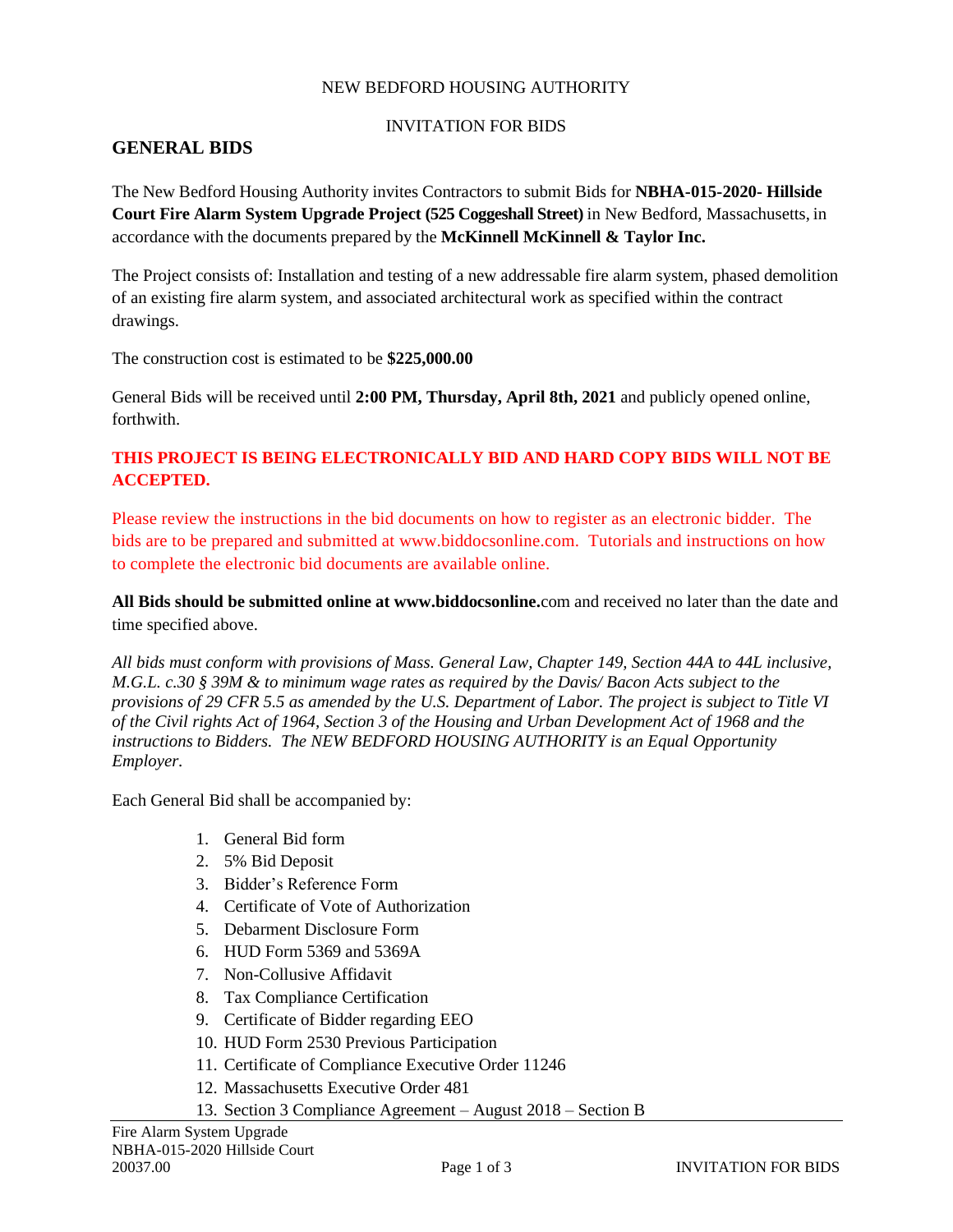#### NEW BEDFORD HOUSING AUTHORITY

#### INVITATION FOR BIDS

#### **GENERAL BIDS**

The New Bedford Housing Authority invites Contractors to submit Bids for **NBHA-015-2020- Hillside Court Fire Alarm System Upgrade Project (525 Coggeshall Street)** in New Bedford, Massachusetts, in accordance with the documents prepared by the **McKinnell McKinnell & Taylor Inc.**

The Project consists of: Installation and testing of a new addressable fire alarm system, phased demolition of an existing fire alarm system, and associated architectural work as specified within the contract drawings.

The construction cost is estimated to be **\$225,000.00**

General Bids will be received until **2:00 PM, Thursday, April 8th, 2021** and publicly opened online, forthwith.

#### **THIS PROJECT IS BEING ELECTRONICALLY BID AND HARD COPY BIDS WILL NOT BE ACCEPTED.**

Please review the instructions in the bid documents on how to register as an electronic bidder. The bids are to be prepared and submitted at www.biddocsonline.com. Tutorials and instructions on how to complete the electronic bid documents are available online.

**All Bids should be submitted online at www.biddocsonline.**com and received no later than the date and time specified above.

*All bids must conform with provisions of Mass. General Law, Chapter 149, Section 44A to 44L inclusive, M.G.L. c.30 § 39M & to minimum wage rates as required by the Davis/ Bacon Acts subject to the provisions of 29 CFR 5.5 as amended by the U.S. Department of Labor. The project is subject to Title VI of the Civil rights Act of 1964, Section 3 of the Housing and Urban Development Act of 1968 and the instructions to Bidders. The NEW BEDFORD HOUSING AUTHORITY is an Equal Opportunity Employer.*

Each General Bid shall be accompanied by:

- 1. General Bid form
- 2. 5% Bid Deposit
- 3. Bidder's Reference Form
- 4. Certificate of Vote of Authorization
- 5. Debarment Disclosure Form
- 6. HUD Form 5369 and 5369A
- 7. Non-Collusive Affidavit
- 8. Tax Compliance Certification
- 9. Certificate of Bidder regarding EEO
- 10. HUD Form 2530 Previous Participation
- 11. Certificate of Compliance Executive Order 11246
- 12. Massachusetts Executive Order 481
- 13. Section 3 Compliance Agreement August 2018 Section B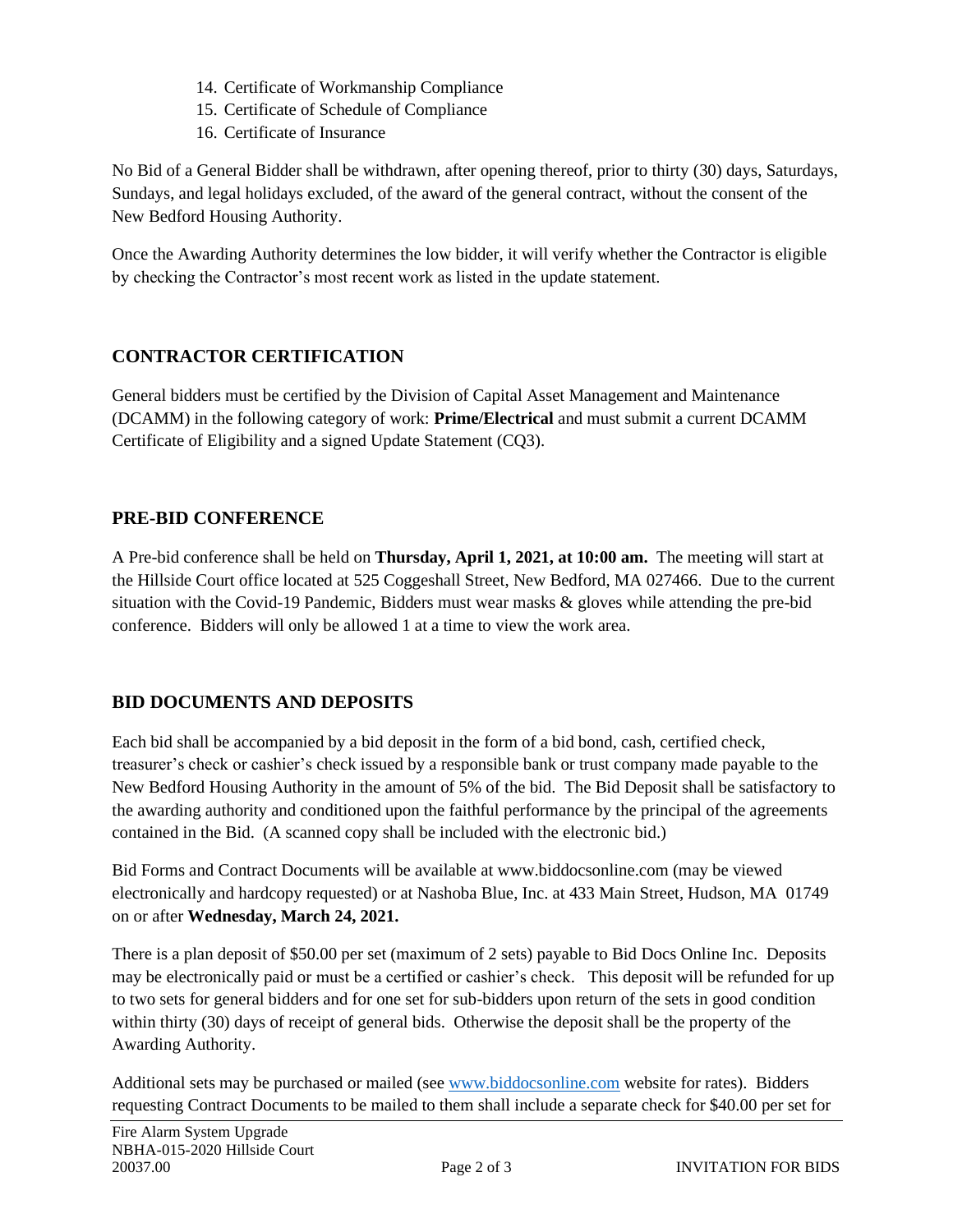- 14. Certificate of Workmanship Compliance
- 15. Certificate of Schedule of Compliance
- 16. Certificate of Insurance

No Bid of a General Bidder shall be withdrawn, after opening thereof, prior to thirty (30) days, Saturdays, Sundays, and legal holidays excluded, of the award of the general contract, without the consent of the New Bedford Housing Authority.

Once the Awarding Authority determines the low bidder, it will verify whether the Contractor is eligible by checking the Contractor's most recent work as listed in the update statement.

# **CONTRACTOR CERTIFICATION**

General bidders must be certified by the Division of Capital Asset Management and Maintenance (DCAMM) in the following category of work: **Prime/Electrical** and must submit a current DCAMM Certificate of Eligibility and a signed Update Statement (CQ3).

# **PRE-BID CONFERENCE**

A Pre-bid conference shall be held on **Thursday, April 1, 2021, at 10:00 am.** The meeting will start at the Hillside Court office located at 525 Coggeshall Street, New Bedford, MA 027466. Due to the current situation with the Covid-19 Pandemic, Bidders must wear masks & gloves while attending the pre-bid conference. Bidders will only be allowed 1 at a time to view the work area.

# **BID DOCUMENTS AND DEPOSITS**

Each bid shall be accompanied by a bid deposit in the form of a bid bond, cash, certified check, treasurer's check or cashier's check issued by a responsible bank or trust company made payable to the New Bedford Housing Authority in the amount of 5% of the bid. The Bid Deposit shall be satisfactory to the awarding authority and conditioned upon the faithful performance by the principal of the agreements contained in the Bid. (A scanned copy shall be included with the electronic bid.)

Bid Forms and Contract Documents will be available at www.biddocsonline.com (may be viewed electronically and hardcopy requested) or at Nashoba Blue, Inc. at 433 Main Street, Hudson, MA 01749 on or after **Wednesday, March 24, 2021.**

There is a plan deposit of \$50.00 per set (maximum of 2 sets) payable to Bid Docs Online Inc. Deposits may be electronically paid or must be a certified or cashier's check. This deposit will be refunded for up to two sets for general bidders and for one set for sub-bidders upon return of the sets in good condition within thirty (30) days of receipt of general bids. Otherwise the deposit shall be the property of the Awarding Authority.

Additional sets may be purchased or mailed (see [www.biddocsonline.com](http://www.biddocsonline.com/) website for rates). Bidders requesting Contract Documents to be mailed to them shall include a separate check for \$40.00 per set for